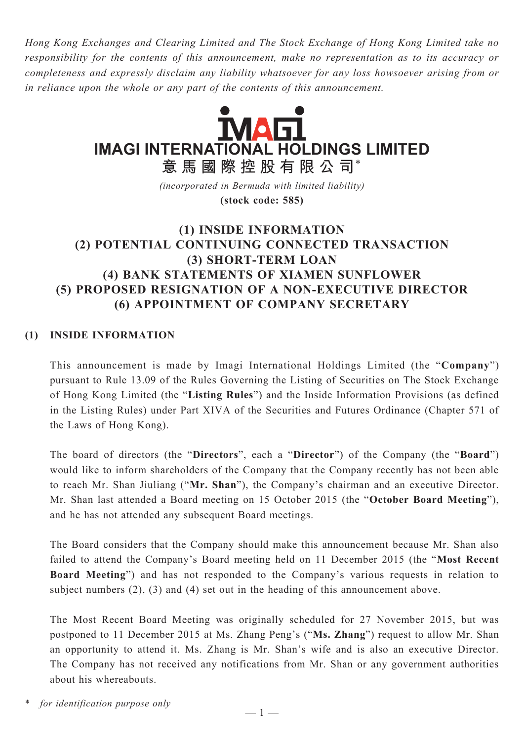*Hong Kong Exchanges and Clearing Limited and The Stock Exchange of Hong Kong Limited take no responsibility for the contents of this announcement, make no representation as to its accuracy or completeness and expressly disclaim any liability whatsoever for any loss howsoever arising from or in reliance upon the whole or any part of the contents of this announcement.*



*(incorporated in Bermuda with limited liability)* **(stock code: 585)**

# **(1) INSIDE INFORMATION (2) POTENTIAL CONTINUING CONNECTED TRANSACTION (3) SHORT-TERM LOAN (4) BANK STATEMENTS OF XIAMEN SUNFLOWER (5) PROPOSED RESIGNATION OF A NON-EXECUTIVE DIRECTOR (6) APPOINTMENT OF COMPANY SECRETARY**

## **(1) INSIDE INFORMATION**

This announcement is made by Imagi International Holdings Limited (the "**Company**") pursuant to Rule 13.09 of the Rules Governing the Listing of Securities on The Stock Exchange of Hong Kong Limited (the "**Listing Rules**") and the Inside Information Provisions (as defined in the Listing Rules) under Part XIVA of the Securities and Futures Ordinance (Chapter 571 of the Laws of Hong Kong).

The board of directors (the "**Directors**", each a "**Director**") of the Company (the "**Board**") would like to inform shareholders of the Company that the Company recently has not been able to reach Mr. Shan Jiuliang ("**Mr. Shan**"), the Company's chairman and an executive Director. Mr. Shan last attended a Board meeting on 15 October 2015 (the "**October Board Meeting**"), and he has not attended any subsequent Board meetings.

The Board considers that the Company should make this announcement because Mr. Shan also failed to attend the Company's Board meeting held on 11 December 2015 (the "**Most Recent Board Meeting**") and has not responded to the Company's various requests in relation to subject numbers (2), (3) and (4) set out in the heading of this announcement above.

The Most Recent Board Meeting was originally scheduled for 27 November 2015, but was postponed to 11 December 2015 at Ms. Zhang Peng's ("**Ms. Zhang**") request to allow Mr. Shan an opportunity to attend it. Ms. Zhang is Mr. Shan's wife and is also an executive Director. The Company has not received any notifications from Mr. Shan or any government authorities about his whereabouts.

for *identification* purpose only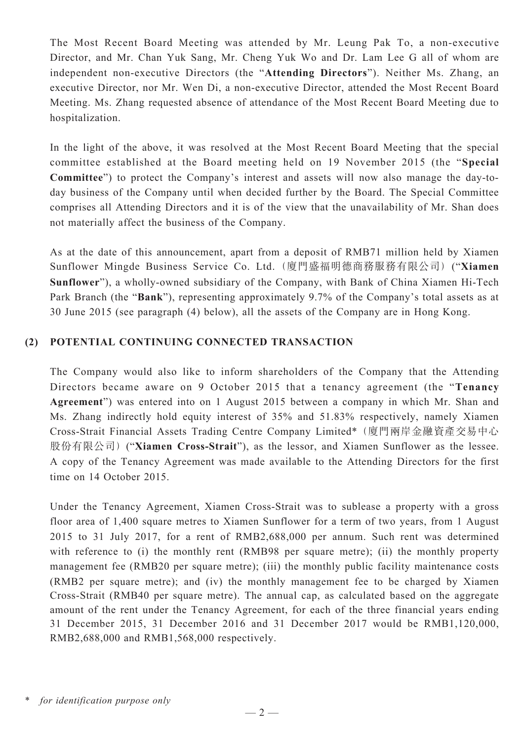The Most Recent Board Meeting was attended by Mr. Leung Pak To, a non-executive Director, and Mr. Chan Yuk Sang, Mr. Cheng Yuk Wo and Dr. Lam Lee G all of whom are independent non-executive Directors (the "**Attending Directors**"). Neither Ms. Zhang, an executive Director, nor Mr. Wen Di, a non-executive Director, attended the Most Recent Board Meeting. Ms. Zhang requested absence of attendance of the Most Recent Board Meeting due to hospitalization.

In the light of the above, it was resolved at the Most Recent Board Meeting that the special committee established at the Board meeting held on 19 November 2015 (the "**Special Committee**") to protect the Company's interest and assets will now also manage the day-today business of the Company until when decided further by the Board. The Special Committee comprises all Attending Directors and it is of the view that the unavailability of Mr. Shan does not materially affect the business of the Company.

As at the date of this announcement, apart from a deposit of RMB71 million held by Xiamen Sunflower Mingde Business Service Co. Ltd. (廈門盛福明德商務服務有限公司) ("**Xiamen Sunflower**"), a wholly-owned subsidiary of the Company, with Bank of China Xiamen Hi-Tech Park Branch (the "**Bank**"), representing approximately 9.7% of the Company's total assets as at 30 June 2015 (see paragraph (4) below), all the assets of the Company are in Hong Kong.

### **(2) POTENTIAL CONTINUING CONNECTED TRANSACTION**

The Company would also like to inform shareholders of the Company that the Attending Directors became aware on 9 October 2015 that a tenancy agreement (the "**Tenancy Agreement**") was entered into on 1 August 2015 between a company in which Mr. Shan and Ms. Zhang indirectly hold equity interest of 35% and 51.83% respectively, namely Xiamen Cross-Strait Financial Assets Trading Centre Company Limited\* (廈門兩岸金融資產交易中心 股份有限公司) ("**Xiamen Cross-Strait**"), as the lessor, and Xiamen Sunflower as the lessee. A copy of the Tenancy Agreement was made available to the Attending Directors for the first time on 14 October 2015.

Under the Tenancy Agreement, Xiamen Cross-Strait was to sublease a property with a gross floor area of 1,400 square metres to Xiamen Sunflower for a term of two years, from 1 August 2015 to 31 July 2017, for a rent of RMB2,688,000 per annum. Such rent was determined with reference to (i) the monthly rent (RMB98 per square metre); (ii) the monthly property management fee (RMB20 per square metre); (iii) the monthly public facility maintenance costs (RMB2 per square metre); and (iv) the monthly management fee to be charged by Xiamen Cross-Strait (RMB40 per square metre). The annual cap, as calculated based on the aggregate amount of the rent under the Tenancy Agreement, for each of the three financial years ending 31 December 2015, 31 December 2016 and 31 December 2017 would be RMB1,120,000, RMB2,688,000 and RMB1,568,000 respectively.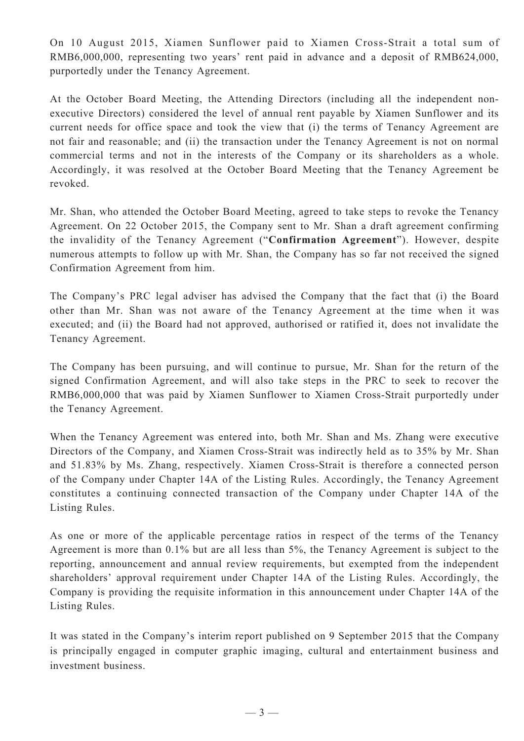On 10 August 2015, Xiamen Sunflower paid to Xiamen Cross-Strait a total sum of RMB6,000,000, representing two years' rent paid in advance and a deposit of RMB624,000, purportedly under the Tenancy Agreement.

At the October Board Meeting, the Attending Directors (including all the independent nonexecutive Directors) considered the level of annual rent payable by Xiamen Sunflower and its current needs for office space and took the view that (i) the terms of Tenancy Agreement are not fair and reasonable; and (ii) the transaction under the Tenancy Agreement is not on normal commercial terms and not in the interests of the Company or its shareholders as a whole. Accordingly, it was resolved at the October Board Meeting that the Tenancy Agreement be revoked.

Mr. Shan, who attended the October Board Meeting, agreed to take steps to revoke the Tenancy Agreement. On 22 October 2015, the Company sent to Mr. Shan a draft agreement confirming the invalidity of the Tenancy Agreement ("**Confirmation Agreement**"). However, despite numerous attempts to follow up with Mr. Shan, the Company has so far not received the signed Confirmation Agreement from him.

The Company's PRC legal adviser has advised the Company that the fact that (i) the Board other than Mr. Shan was not aware of the Tenancy Agreement at the time when it was executed; and (ii) the Board had not approved, authorised or ratified it, does not invalidate the Tenancy Agreement.

The Company has been pursuing, and will continue to pursue, Mr. Shan for the return of the signed Confirmation Agreement, and will also take steps in the PRC to seek to recover the RMB6,000,000 that was paid by Xiamen Sunflower to Xiamen Cross-Strait purportedly under the Tenancy Agreement.

When the Tenancy Agreement was entered into, both Mr. Shan and Ms. Zhang were executive Directors of the Company, and Xiamen Cross-Strait was indirectly held as to 35% by Mr. Shan and 51.83% by Ms. Zhang, respectively. Xiamen Cross-Strait is therefore a connected person of the Company under Chapter 14A of the Listing Rules. Accordingly, the Tenancy Agreement constitutes a continuing connected transaction of the Company under Chapter 14A of the Listing Rules.

As one or more of the applicable percentage ratios in respect of the terms of the Tenancy Agreement is more than 0.1% but are all less than 5%, the Tenancy Agreement is subject to the reporting, announcement and annual review requirements, but exempted from the independent shareholders' approval requirement under Chapter 14A of the Listing Rules. Accordingly, the Company is providing the requisite information in this announcement under Chapter 14A of the Listing Rules.

It was stated in the Company's interim report published on 9 September 2015 that the Company is principally engaged in computer graphic imaging, cultural and entertainment business and investment business.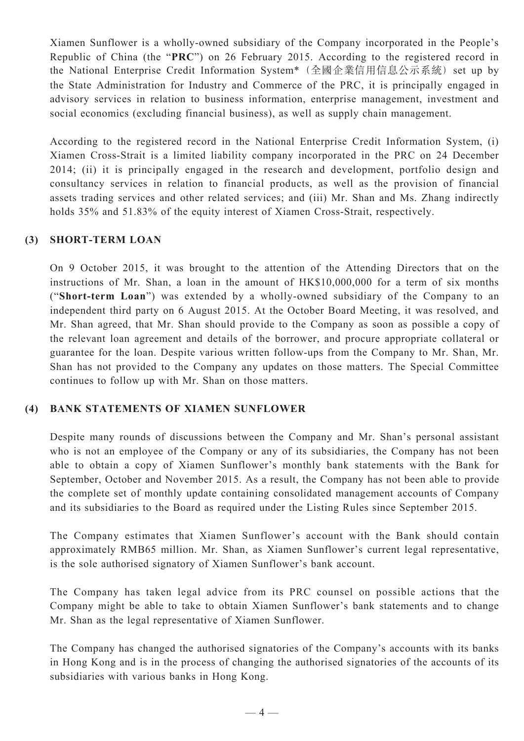Xiamen Sunflower is a wholly-owned subsidiary of the Company incorporated in the People's Republic of China (the "**PRC**") on 26 February 2015. According to the registered record in the National Enterprise Credit Information System\* (全國企業信用信息公示系統) set up by the State Administration for Industry and Commerce of the PRC, it is principally engaged in advisory services in relation to business information, enterprise management, investment and social economics (excluding financial business), as well as supply chain management.

According to the registered record in the National Enterprise Credit Information System, (i) Xiamen Cross-Strait is a limited liability company incorporated in the PRC on 24 December 2014; (ii) it is principally engaged in the research and development, portfolio design and consultancy services in relation to financial products, as well as the provision of financial assets trading services and other related services; and (iii) Mr. Shan and Ms. Zhang indirectly holds 35% and 51.83% of the equity interest of Xiamen Cross-Strait, respectively.

#### **(3) SHORT-TERM LOAN**

On 9 October 2015, it was brought to the attention of the Attending Directors that on the instructions of Mr. Shan, a loan in the amount of HK\$10,000,000 for a term of six months ("**Short-term Loan**") was extended by a wholly-owned subsidiary of the Company to an independent third party on 6 August 2015. At the October Board Meeting, it was resolved, and Mr. Shan agreed, that Mr. Shan should provide to the Company as soon as possible a copy of the relevant loan agreement and details of the borrower, and procure appropriate collateral or guarantee for the loan. Despite various written follow-ups from the Company to Mr. Shan, Mr. Shan has not provided to the Company any updates on those matters. The Special Committee continues to follow up with Mr. Shan on those matters.

#### **(4) BANK STATEMENTS OF XIAMEN SUNFLOWER**

Despite many rounds of discussions between the Company and Mr. Shan's personal assistant who is not an employee of the Company or any of its subsidiaries, the Company has not been able to obtain a copy of Xiamen Sunflower's monthly bank statements with the Bank for September, October and November 2015. As a result, the Company has not been able to provide the complete set of monthly update containing consolidated management accounts of Company and its subsidiaries to the Board as required under the Listing Rules since September 2015.

The Company estimates that Xiamen Sunflower's account with the Bank should contain approximately RMB65 million. Mr. Shan, as Xiamen Sunflower's current legal representative, is the sole authorised signatory of Xiamen Sunflower's bank account.

The Company has taken legal advice from its PRC counsel on possible actions that the Company might be able to take to obtain Xiamen Sunflower's bank statements and to change Mr. Shan as the legal representative of Xiamen Sunflower.

The Company has changed the authorised signatories of the Company's accounts with its banks in Hong Kong and is in the process of changing the authorised signatories of the accounts of its subsidiaries with various banks in Hong Kong.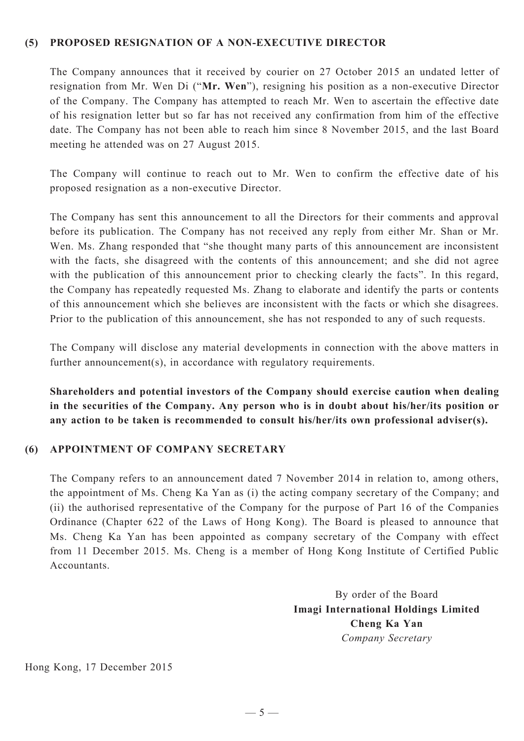#### **(5) PROPOSED RESIGNATION OF A NON-EXECUTIVE DIRECTOR**

The Company announces that it received by courier on 27 October 2015 an undated letter of resignation from Mr. Wen Di ("**Mr. Wen**"), resigning his position as a non-executive Director of the Company. The Company has attempted to reach Mr. Wen to ascertain the effective date of his resignation letter but so far has not received any confirmation from him of the effective date. The Company has not been able to reach him since 8 November 2015, and the last Board meeting he attended was on 27 August 2015.

The Company will continue to reach out to Mr. Wen to confirm the effective date of his proposed resignation as a non-executive Director.

The Company has sent this announcement to all the Directors for their comments and approval before its publication. The Company has not received any reply from either Mr. Shan or Mr. Wen. Ms. Zhang responded that "she thought many parts of this announcement are inconsistent with the facts, she disagreed with the contents of this announcement; and she did not agree with the publication of this announcement prior to checking clearly the facts". In this regard, the Company has repeatedly requested Ms. Zhang to elaborate and identify the parts or contents of this announcement which she believes are inconsistent with the facts or which she disagrees. Prior to the publication of this announcement, she has not responded to any of such requests.

The Company will disclose any material developments in connection with the above matters in further announcement(s), in accordance with regulatory requirements.

**Shareholders and potential investors of the Company should exercise caution when dealing in the securities of the Company. Any person who is in doubt about his/her/its position or any action to be taken is recommended to consult his/her/its own professional adviser(s).**

#### **(6) APPOINTMENT OF COMPANY SECRETARY**

The Company refers to an announcement dated 7 November 2014 in relation to, among others, the appointment of Ms. Cheng Ka Yan as (i) the acting company secretary of the Company; and (ii) the authorised representative of the Company for the purpose of Part 16 of the Companies Ordinance (Chapter 622 of the Laws of Hong Kong). The Board is pleased to announce that Ms. Cheng Ka Yan has been appointed as company secretary of the Company with effect from 11 December 2015. Ms. Cheng is a member of Hong Kong Institute of Certified Public Accountants.

> By order of the Board **Imagi International Holdings Limited Cheng Ka Yan** *Company Secretary*

Hong Kong, 17 December 2015